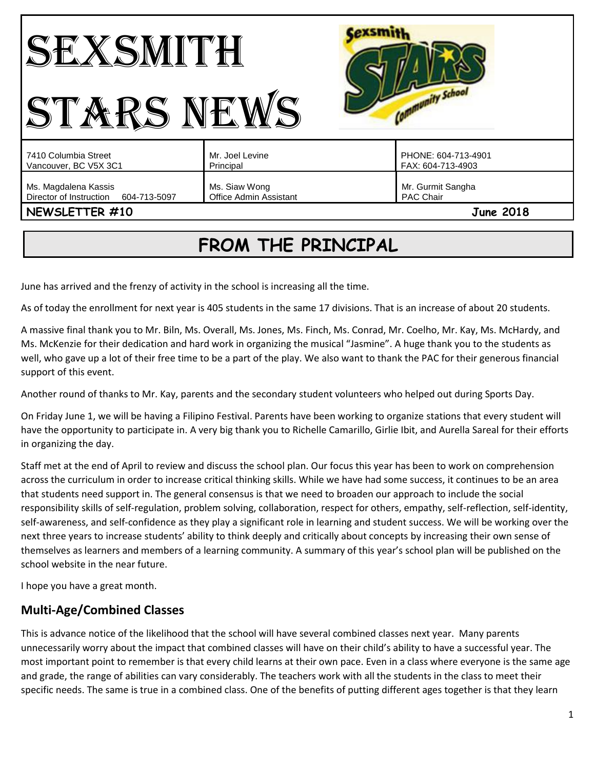| $\overline{a}$                                                  |                                         | munity School                            |
|-----------------------------------------------------------------|-----------------------------------------|------------------------------------------|
| 7410 Columbia Street<br>Vancouver, BC V5X 3C1                   | Mr. Joel Levine<br>Principal            | PHONE: 604-713-4901<br>FAX: 604-713-4903 |
| Ms. Magdalena Kassis<br>Director of Instruction<br>604-713-5097 | Ms. Siaw Wong<br>Office Admin Assistant | Mr. Gurmit Sangha<br>PAC Chair           |
| NEWSLETTER #10                                                  |                                         | <b>June 2018</b>                         |

# **FROM THE PRINCIPAL**

June has arrived and the frenzy of activity in the school is increasing all the time.

As of today the enrollment for next year is 405 students in the same 17 divisions. That is an increase of about 20 students.

A massive final thank you to Mr. Biln, Ms. Overall, Ms. Jones, Ms. Finch, Ms. Conrad, Mr. Coelho, Mr. Kay, Ms. McHardy, and Ms. McKenzie for their dedication and hard work in organizing the musical "Jasmine". A huge thank you to the students as well, who gave up a lot of their free time to be a part of the play. We also want to thank the PAC for their generous financial support of this event.

Another round of thanks to Mr. Kay, parents and the secondary student volunteers who helped out during Sports Day.

On Friday June 1, we will be having a Filipino Festival. Parents have been working to organize stations that every student will have the opportunity to participate in. A very big thank you to Richelle Camarillo, Girlie Ibit, and Aurella Sareal for their efforts in organizing the day.

Staff met at the end of April to review and discuss the school plan. Our focus this year has been to work on comprehension across the curriculum in order to increase critical thinking skills. While we have had some success, it continues to be an area that students need support in. The general consensus is that we need to broaden our approach to include the social responsibility skills of self-regulation, problem solving, collaboration, respect for others, empathy, self-reflection, self-identity, self-awareness, and self-confidence as they play a significant role in learning and student success. We will be working over the next three years to increase students' ability to think deeply and critically about concepts by increasing their own sense of themselves as learners and members of a learning community. A summary of this year's school plan will be published on the school website in the near future.

I hope you have a great month.

## **Multi-Age/Combined Classes**

This is advance notice of the likelihood that the school will have several combined classes next year. Many parents unnecessarily worry about the impact that combined classes will have on their child's ability to have a successful year. The most important point to remember is that every child learns at their own pace. Even in a class where everyone is the same age and grade, the range of abilities can vary considerably. The teachers work with all the students in the class to meet their specific needs. The same is true in a combined class. One of the benefits of putting different ages together is that they learn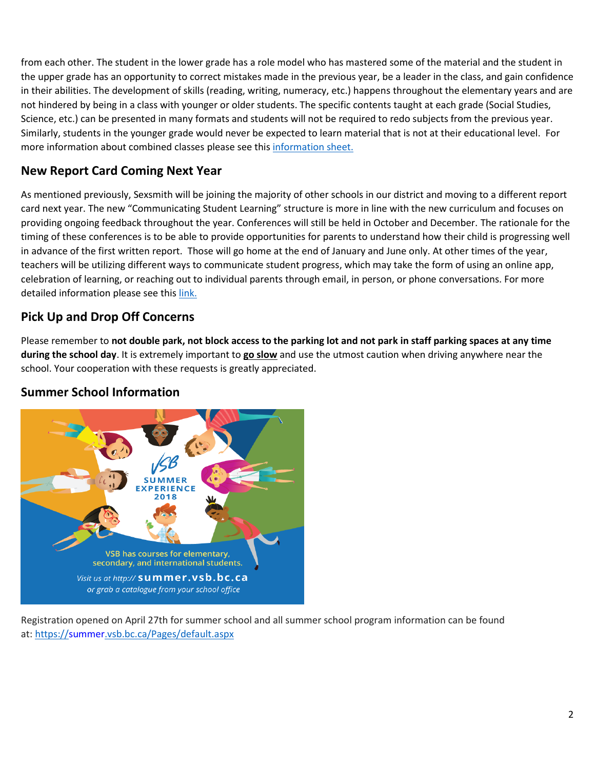from each other. The student in the lower grade has a role model who has mastered some of the material and the student in the upper grade has an opportunity to correct mistakes made in the previous year, be a leader in the class, and gain confidence in their abilities. The development of skills (reading, writing, numeracy, etc.) happens throughout the elementary years and are not hindered by being in a class with younger or older students. The specific contents taught at each grade (Social Studies, Science, etc.) can be presented in many formats and students will not be required to redo subjects from the previous year. Similarly, students in the younger grade would never be expected to learn material that is not at their educational level. For more information about combined classes please see thi[s information sheet.](http://go.vsb.bc.ca/schools/sxs/Publications/Multi-Age%20Classes.pdf)

## **New Report Card Coming Next Year**

As mentioned previously, Sexsmith will be joining the majority of other schools in our district and moving to a different report card next year. The new "Communicating Student Learning" structure is more in line with the new curriculum and focuses on providing ongoing feedback throughout the year. Conferences will still be held in October and December. The rationale for the timing of these conferences is to be able to provide opportunities for parents to understand how their child is progressing well in advance of the first written report. Those will go home at the end of January and June only. At other times of the year, teachers will be utilizing different ways to communicate student progress, which may take the form of using an online app, celebration of learning, or reaching out to individual parents through email, in person, or phone conversations. For more detailed information please see this [link.](http://go.vsb.bc.ca/schools/sxs/Publications/CSL%20presentation%20for%20parents%20Jan18.pdf)

## **Pick Up and Drop Off Concerns**

Please remember to **not double park, not block access to the parking lot and not park in staff parking spaces at any time during the school day**. It is extremely important to **go slow** and use the utmost caution when driving anywhere near the school. Your cooperation with these requests is greatly appreciated.

## **Summer School Information**



Registration opened on April 27th for summer school and all summer school program information can be found at: <https://summer.vsb.bc.ca/Pages/default.aspx>